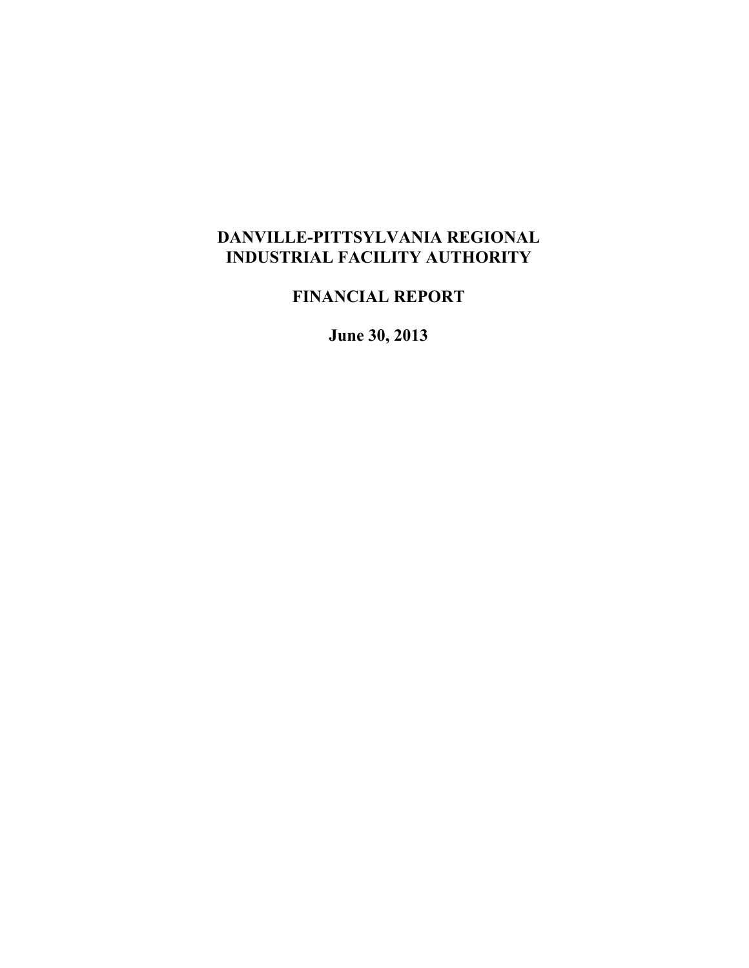# **DANVILLE-PITTSYLVANIA REGIONAL INDUSTRIAL FACILITY AUTHORITY**

**FINANCIAL REPORT** 

**June 30, 2013**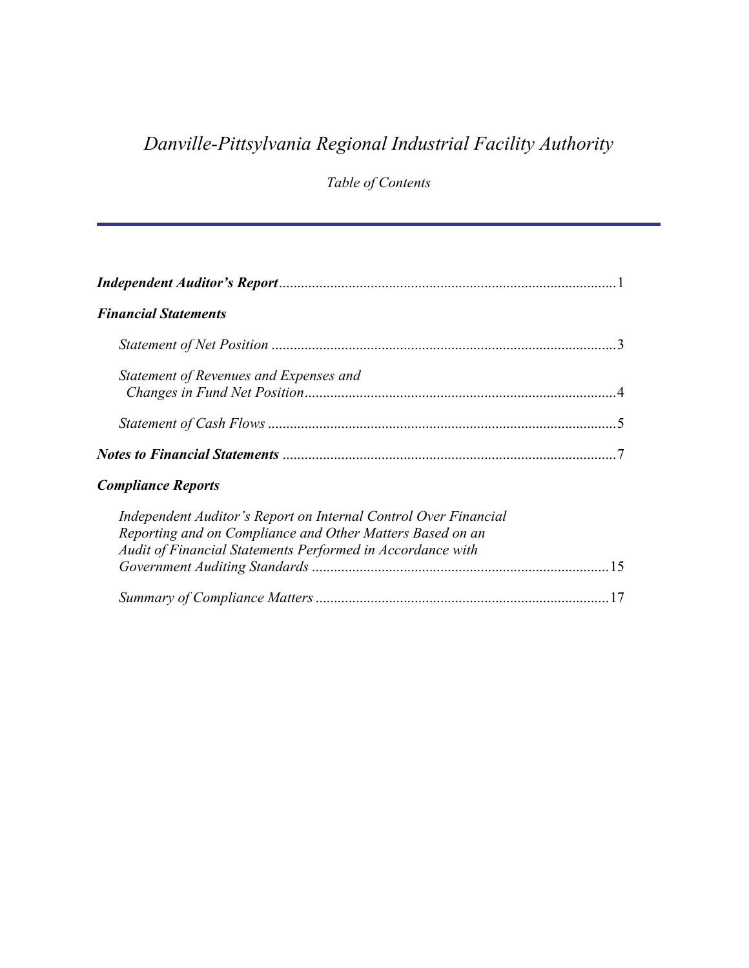# *Danville-Pittsylvania Regional Industrial Facility Authority*

*Table of Contents*

| <b>Financial Statements</b>                                                                                                                                                                |    |
|--------------------------------------------------------------------------------------------------------------------------------------------------------------------------------------------|----|
|                                                                                                                                                                                            |    |
| Statement of Revenues and Expenses and                                                                                                                                                     |    |
|                                                                                                                                                                                            |    |
|                                                                                                                                                                                            |    |
| <b>Compliance Reports</b>                                                                                                                                                                  |    |
| Independent Auditor's Report on Internal Control Over Financial<br>Reporting and on Compliance and Other Matters Based on an<br>Audit of Financial Statements Performed in Accordance with | 15 |
|                                                                                                                                                                                            |    |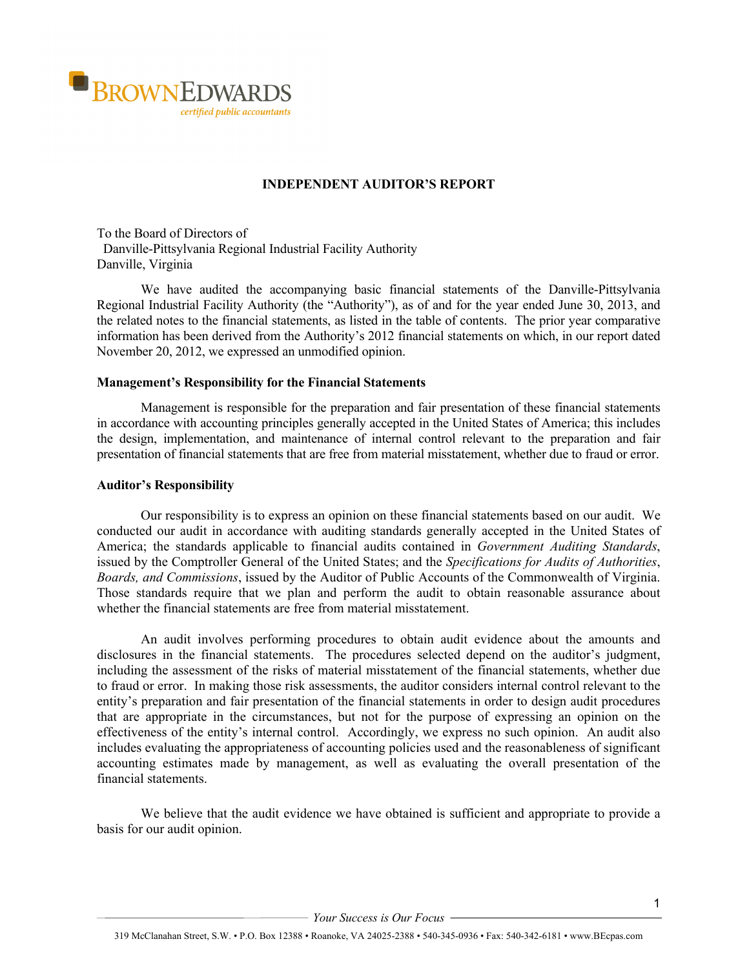

#### **INDEPENDENT AUDITOR'S REPORT**

To the Board of Directors of Danville-Pittsylvania Regional Industrial Facility Authority Danville, Virginia

We have audited the accompanying basic financial statements of the Danville-Pittsylvania Regional Industrial Facility Authority (the "Authority"), as of and for the year ended June 30, 2013, and the related notes to the financial statements, as listed in the table of contents. The prior year comparative information has been derived from the Authority's 2012 financial statements on which, in our report dated November 20, 2012, we expressed an unmodified opinion.

#### **Management's Responsibility for the Financial Statements**

 Management is responsible for the preparation and fair presentation of these financial statements in accordance with accounting principles generally accepted in the United States of America; this includes the design, implementation, and maintenance of internal control relevant to the preparation and fair presentation of financial statements that are free from material misstatement, whether due to fraud or error.

#### **Auditor's Responsibility**

 Our responsibility is to express an opinion on these financial statements based on our audit. We conducted our audit in accordance with auditing standards generally accepted in the United States of America; the standards applicable to financial audits contained in *Government Auditing Standards*, issued by the Comptroller General of the United States; and the *Specifications for Audits of Authorities*, *Boards, and Commissions*, issued by the Auditor of Public Accounts of the Commonwealth of Virginia. Those standards require that we plan and perform the audit to obtain reasonable assurance about whether the financial statements are free from material misstatement.

 An audit involves performing procedures to obtain audit evidence about the amounts and disclosures in the financial statements. The procedures selected depend on the auditor's judgment, including the assessment of the risks of material misstatement of the financial statements, whether due to fraud or error. In making those risk assessments, the auditor considers internal control relevant to the entity's preparation and fair presentation of the financial statements in order to design audit procedures that are appropriate in the circumstances, but not for the purpose of expressing an opinion on the effectiveness of the entity's internal control. Accordingly, we express no such opinion. An audit also includes evaluating the appropriateness of accounting policies used and the reasonableness of significant accounting estimates made by management, as well as evaluating the overall presentation of the financial statements.

We believe that the audit evidence we have obtained is sufficient and appropriate to provide a basis for our audit opinion.

*Your Success is Our Focus* 

1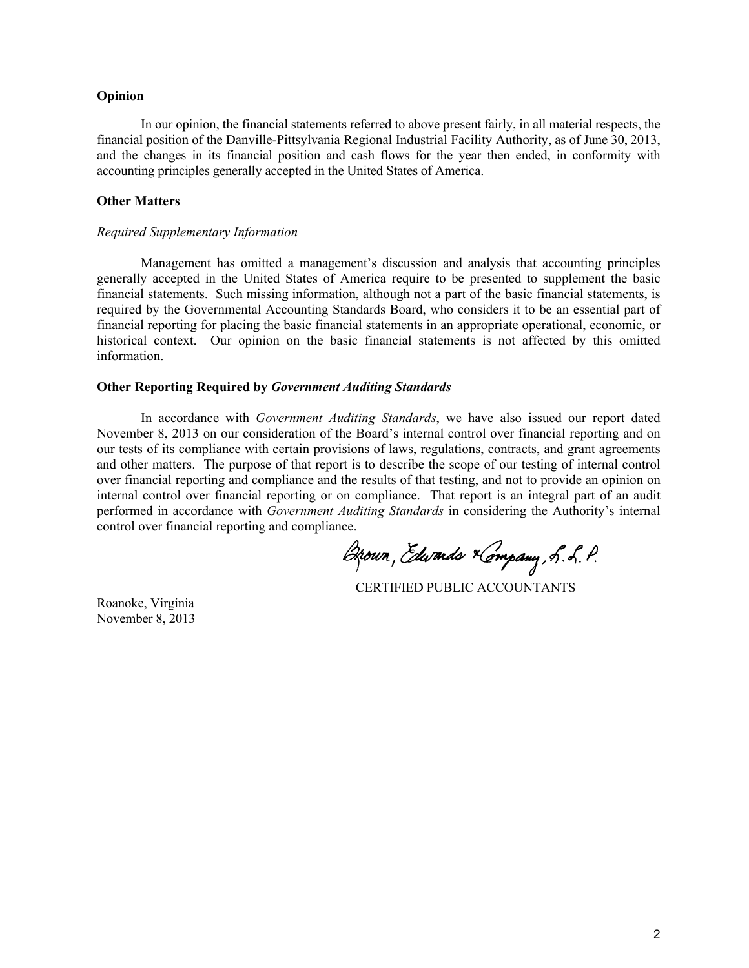#### **Opinion**

 In our opinion, the financial statements referred to above present fairly, in all material respects, the financial position of the Danville-Pittsylvania Regional Industrial Facility Authority, as of June 30, 2013, and the changes in its financial position and cash flows for the year then ended, in conformity with accounting principles generally accepted in the United States of America.

#### **Other Matters**

#### *Required Supplementary Information*

Management has omitted a management's discussion and analysis that accounting principles generally accepted in the United States of America require to be presented to supplement the basic financial statements. Such missing information, although not a part of the basic financial statements, is required by the Governmental Accounting Standards Board, who considers it to be an essential part of financial reporting for placing the basic financial statements in an appropriate operational, economic, or historical context. Our opinion on the basic financial statements is not affected by this omitted information.

#### **Other Reporting Required by** *Government Auditing Standards*

 In accordance with *Government Auditing Standards*, we have also issued our report dated November 8, 2013 on our consideration of the Board's internal control over financial reporting and on our tests of its compliance with certain provisions of laws, regulations, contracts, and grant agreements and other matters. The purpose of that report is to describe the scope of our testing of internal control over financial reporting and compliance and the results of that testing, and not to provide an opinion on internal control over financial reporting or on compliance. That report is an integral part of an audit performed in accordance with *Government Auditing Standards* in considering the Authority's internal control over financial reporting and compliance.

Brown, Edwards Kompany, S. L. P.

CERTIFIED PUBLIC ACCOUNTANTS

Roanoke, Virginia November 8, 2013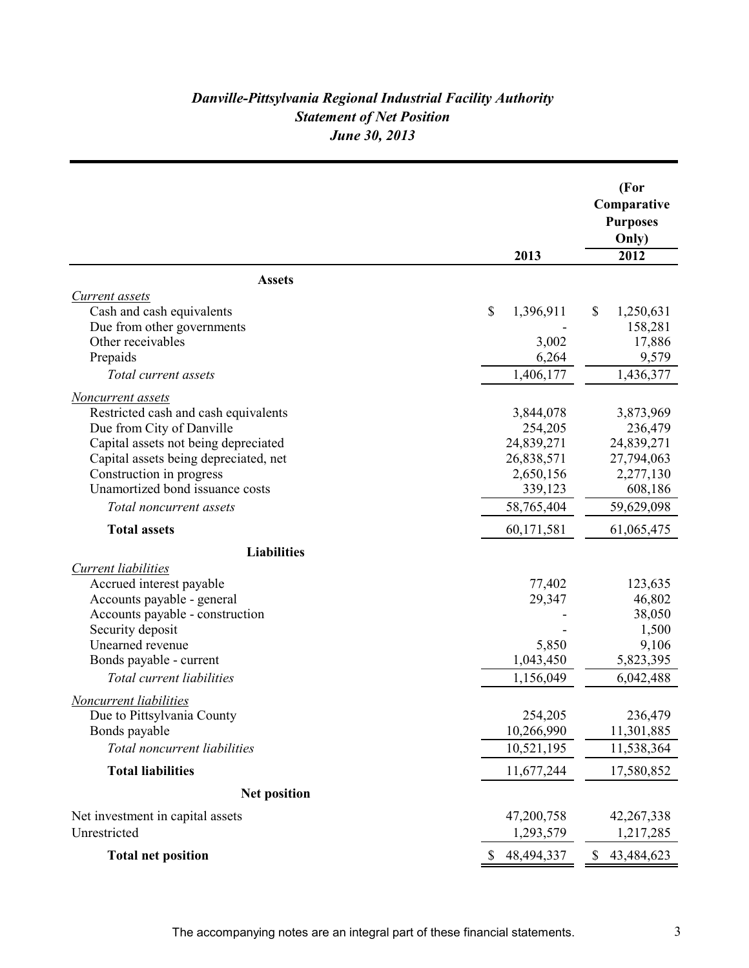# *Danville-Pittsylvania Regional Industrial Facility Authority Statement of Net Position June 30, 2013*

|                                                                   |                         | (For<br>Comparative<br><b>Purposes</b><br>Only) |
|-------------------------------------------------------------------|-------------------------|-------------------------------------------------|
|                                                                   | 2013                    | 2012                                            |
| <b>Assets</b>                                                     |                         |                                                 |
| Current assets                                                    |                         |                                                 |
| Cash and cash equivalents<br>Due from other governments           | \$<br>1,396,911         | 1,250,631<br>\$<br>158,281                      |
| Other receivables                                                 | 3,002                   | 17,886                                          |
| Prepaids                                                          | 6,264                   | 9,579                                           |
|                                                                   |                         |                                                 |
| Total current assets                                              | 1,406,177               | 1,436,377                                       |
| Noncurrent assets                                                 |                         |                                                 |
| Restricted cash and cash equivalents                              | 3,844,078               | 3,873,969                                       |
| Due from City of Danville                                         | 254,205                 | 236,479                                         |
| Capital assets not being depreciated                              | 24,839,271              | 24,839,271<br>27,794,063                        |
| Capital assets being depreciated, net<br>Construction in progress | 26,838,571<br>2,650,156 | 2,277,130                                       |
| Unamortized bond issuance costs                                   | 339,123                 | 608,186                                         |
| Total noncurrent assets                                           | 58,765,404              | 59,629,098                                      |
|                                                                   |                         |                                                 |
| <b>Total assets</b>                                               | 60,171,581              | 61,065,475                                      |
| <b>Liabilities</b>                                                |                         |                                                 |
| <b>Current liabilities</b>                                        |                         |                                                 |
| Accrued interest payable                                          | 77,402                  | 123,635                                         |
| Accounts payable - general                                        | 29,347                  | 46,802                                          |
| Accounts payable - construction                                   |                         | 38,050                                          |
| Security deposit                                                  |                         | 1,500                                           |
| Unearned revenue                                                  | 5,850                   | 9,106                                           |
| Bonds payable - current                                           | 1,043,450               | 5,823,395                                       |
| Total current liabilities                                         | 1,156,049               | 6,042,488                                       |
| Noncurrent liabilities                                            |                         |                                                 |
| Due to Pittsylvania County                                        | 254,205                 | 236,479                                         |
| Bonds payable                                                     | 10,266,990              | 11,301,885                                      |
| Total noncurrent liabilities                                      | 10,521,195              | 11,538,364                                      |
| <b>Total liabilities</b>                                          | 11,677,244              | 17,580,852                                      |
| <b>Net position</b>                                               |                         |                                                 |
| Net investment in capital assets                                  | 47,200,758              | 42, 267, 338                                    |
| Unrestricted                                                      | 1,293,579               | 1,217,285                                       |
|                                                                   |                         |                                                 |
| <b>Total net position</b>                                         | 48, 494, 337<br>\$      | \$43,484,623                                    |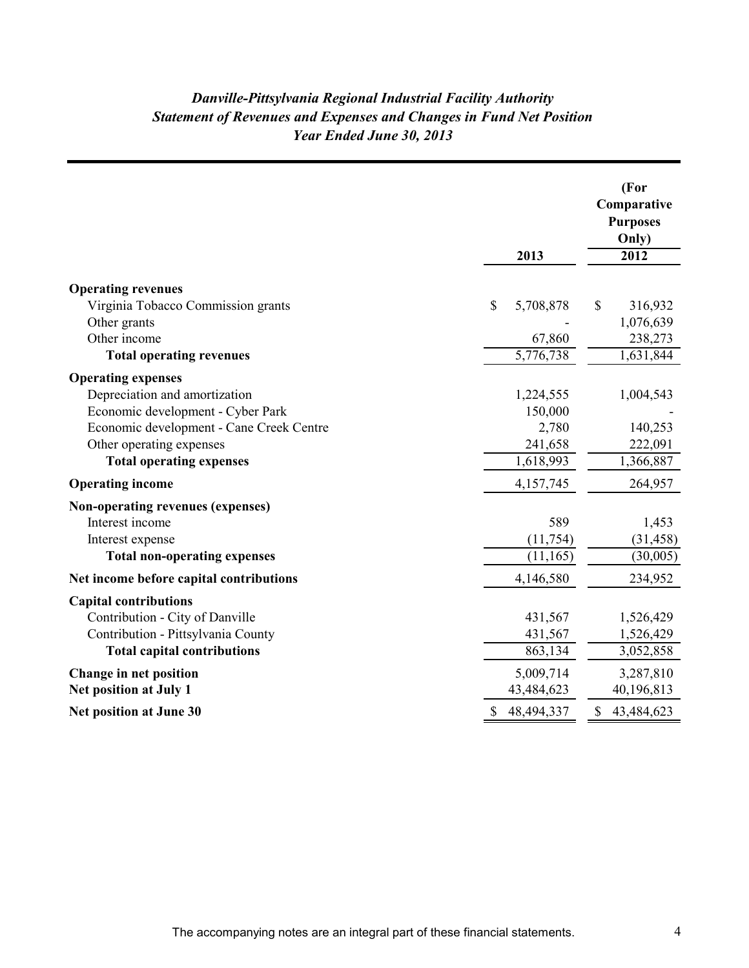# *Danville-Pittsylvania Regional Industrial Facility Authority Statement of Revenues and Expenses and Changes in Fund Net Position Year Ended June 30, 2013*

| 2013<br>2012<br>\$<br>5,708,878<br>Virginia Tobacco Commission grants<br>\$<br>316,932<br>Other grants<br>1,076,639<br>Other income<br>67,860<br>238,273<br>5,776,738<br>1,631,844<br><b>Total operating revenues</b><br>Depreciation and amortization<br>1,224,555<br>1,004,543<br>Economic development - Cyber Park<br>150,000<br>Economic development - Cane Creek Centre<br>2,780<br>140,253<br>222,091<br>Other operating expenses<br>241,658<br><b>Total operating expenses</b><br>$\overline{1,618,993}$<br>1,366,887<br>4,157,745<br>264,957<br>Interest income<br>589<br>1,453<br>(11, 754)<br>Interest expense<br>(31, 458)<br>(11, 165)<br>(30,005)<br><b>Total non-operating expenses</b><br>4,146,580<br>234,952<br>Contribution - City of Danville<br>431,567<br>1,526,429<br>Contribution - Pittsylvania County<br>431,567<br>1,526,429<br><b>Total capital contributions</b><br>863,134<br>3,052,858<br>5,009,714<br>3,287,810<br>43,484,623<br>40,196,813<br>$\boldsymbol{\mathsf{S}}$<br>48,494,337<br>\$<br>43,484,623 |                                         | (For<br>Comparative<br><b>Purposes</b><br>Only) |
|-------------------------------------------------------------------------------------------------------------------------------------------------------------------------------------------------------------------------------------------------------------------------------------------------------------------------------------------------------------------------------------------------------------------------------------------------------------------------------------------------------------------------------------------------------------------------------------------------------------------------------------------------------------------------------------------------------------------------------------------------------------------------------------------------------------------------------------------------------------------------------------------------------------------------------------------------------------------------------------------------------------------------------------------|-----------------------------------------|-------------------------------------------------|
|                                                                                                                                                                                                                                                                                                                                                                                                                                                                                                                                                                                                                                                                                                                                                                                                                                                                                                                                                                                                                                           |                                         |                                                 |
|                                                                                                                                                                                                                                                                                                                                                                                                                                                                                                                                                                                                                                                                                                                                                                                                                                                                                                                                                                                                                                           | <b>Operating revenues</b>               |                                                 |
|                                                                                                                                                                                                                                                                                                                                                                                                                                                                                                                                                                                                                                                                                                                                                                                                                                                                                                                                                                                                                                           |                                         |                                                 |
|                                                                                                                                                                                                                                                                                                                                                                                                                                                                                                                                                                                                                                                                                                                                                                                                                                                                                                                                                                                                                                           |                                         |                                                 |
|                                                                                                                                                                                                                                                                                                                                                                                                                                                                                                                                                                                                                                                                                                                                                                                                                                                                                                                                                                                                                                           |                                         |                                                 |
|                                                                                                                                                                                                                                                                                                                                                                                                                                                                                                                                                                                                                                                                                                                                                                                                                                                                                                                                                                                                                                           |                                         |                                                 |
|                                                                                                                                                                                                                                                                                                                                                                                                                                                                                                                                                                                                                                                                                                                                                                                                                                                                                                                                                                                                                                           | <b>Operating expenses</b>               |                                                 |
|                                                                                                                                                                                                                                                                                                                                                                                                                                                                                                                                                                                                                                                                                                                                                                                                                                                                                                                                                                                                                                           |                                         |                                                 |
|                                                                                                                                                                                                                                                                                                                                                                                                                                                                                                                                                                                                                                                                                                                                                                                                                                                                                                                                                                                                                                           |                                         |                                                 |
|                                                                                                                                                                                                                                                                                                                                                                                                                                                                                                                                                                                                                                                                                                                                                                                                                                                                                                                                                                                                                                           |                                         |                                                 |
|                                                                                                                                                                                                                                                                                                                                                                                                                                                                                                                                                                                                                                                                                                                                                                                                                                                                                                                                                                                                                                           |                                         |                                                 |
|                                                                                                                                                                                                                                                                                                                                                                                                                                                                                                                                                                                                                                                                                                                                                                                                                                                                                                                                                                                                                                           |                                         |                                                 |
|                                                                                                                                                                                                                                                                                                                                                                                                                                                                                                                                                                                                                                                                                                                                                                                                                                                                                                                                                                                                                                           | <b>Operating income</b>                 |                                                 |
|                                                                                                                                                                                                                                                                                                                                                                                                                                                                                                                                                                                                                                                                                                                                                                                                                                                                                                                                                                                                                                           | Non-operating revenues (expenses)       |                                                 |
|                                                                                                                                                                                                                                                                                                                                                                                                                                                                                                                                                                                                                                                                                                                                                                                                                                                                                                                                                                                                                                           |                                         |                                                 |
|                                                                                                                                                                                                                                                                                                                                                                                                                                                                                                                                                                                                                                                                                                                                                                                                                                                                                                                                                                                                                                           |                                         |                                                 |
|                                                                                                                                                                                                                                                                                                                                                                                                                                                                                                                                                                                                                                                                                                                                                                                                                                                                                                                                                                                                                                           |                                         |                                                 |
|                                                                                                                                                                                                                                                                                                                                                                                                                                                                                                                                                                                                                                                                                                                                                                                                                                                                                                                                                                                                                                           | Net income before capital contributions |                                                 |
|                                                                                                                                                                                                                                                                                                                                                                                                                                                                                                                                                                                                                                                                                                                                                                                                                                                                                                                                                                                                                                           | <b>Capital contributions</b>            |                                                 |
|                                                                                                                                                                                                                                                                                                                                                                                                                                                                                                                                                                                                                                                                                                                                                                                                                                                                                                                                                                                                                                           |                                         |                                                 |
|                                                                                                                                                                                                                                                                                                                                                                                                                                                                                                                                                                                                                                                                                                                                                                                                                                                                                                                                                                                                                                           |                                         |                                                 |
|                                                                                                                                                                                                                                                                                                                                                                                                                                                                                                                                                                                                                                                                                                                                                                                                                                                                                                                                                                                                                                           |                                         |                                                 |
|                                                                                                                                                                                                                                                                                                                                                                                                                                                                                                                                                                                                                                                                                                                                                                                                                                                                                                                                                                                                                                           | Change in net position                  |                                                 |
|                                                                                                                                                                                                                                                                                                                                                                                                                                                                                                                                                                                                                                                                                                                                                                                                                                                                                                                                                                                                                                           | <b>Net position at July 1</b>           |                                                 |
|                                                                                                                                                                                                                                                                                                                                                                                                                                                                                                                                                                                                                                                                                                                                                                                                                                                                                                                                                                                                                                           | <b>Net position at June 30</b>          |                                                 |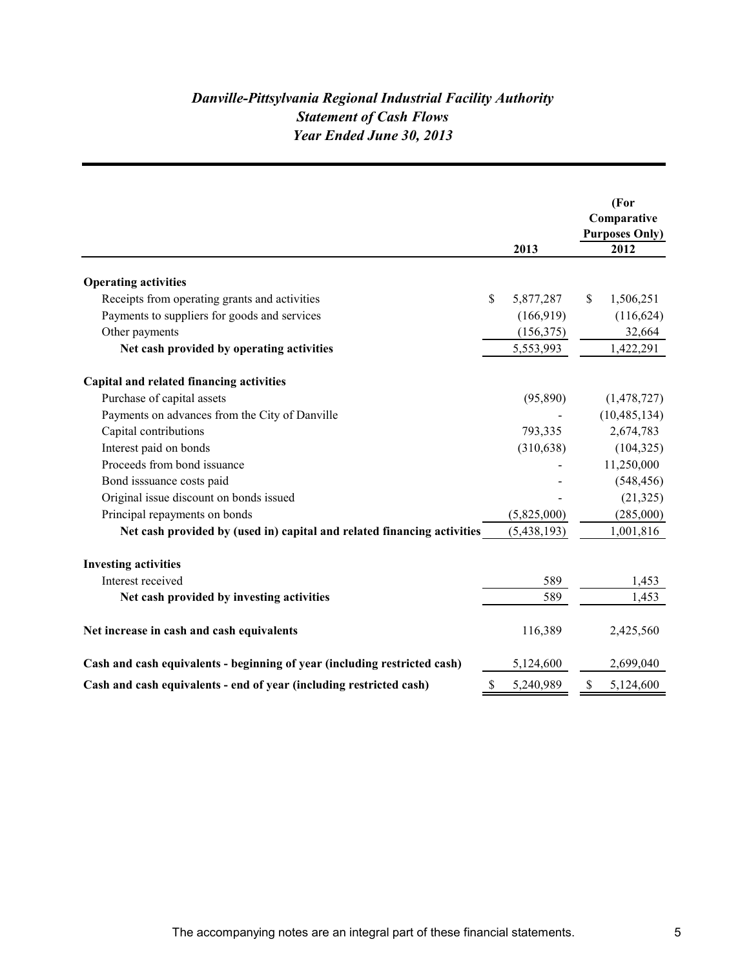# *Danville-Pittsylvania Regional Industrial Facility Authority Year Ended June 30, 2013 Statement of Cash Flows*

|                                                                           | 2013            | (For<br>Comparative<br><b>Purposes Only)</b><br>2012 |
|---------------------------------------------------------------------------|-----------------|------------------------------------------------------|
|                                                                           |                 |                                                      |
| <b>Operating activities</b>                                               |                 |                                                      |
| Receipts from operating grants and activities                             | \$<br>5,877,287 | \$<br>1,506,251                                      |
| Payments to suppliers for goods and services                              | (166, 919)      | (116, 624)                                           |
| Other payments                                                            | (156, 375)      | 32,664                                               |
| Net cash provided by operating activities                                 | 5,553,993       | 1,422,291                                            |
| Capital and related financing activities                                  |                 |                                                      |
| Purchase of capital assets                                                | (95,890)        | (1,478,727)                                          |
| Payments on advances from the City of Danville                            |                 | (10, 485, 134)                                       |
| Capital contributions                                                     | 793,335         | 2,674,783                                            |
| Interest paid on bonds                                                    | (310, 638)      | (104, 325)                                           |
| Proceeds from bond issuance                                               |                 | 11,250,000                                           |
| Bond isssuance costs paid                                                 |                 | (548, 456)                                           |
| Original issue discount on bonds issued                                   |                 | (21, 325)                                            |
| Principal repayments on bonds                                             | (5,825,000)     | (285,000)                                            |
| Net cash provided by (used in) capital and related financing activities   | (5, 438, 193)   | 1,001,816                                            |
| <b>Investing activities</b>                                               |                 |                                                      |
| Interest received                                                         | 589             | 1,453                                                |
| Net cash provided by investing activities                                 | 589             | 1,453                                                |
| Net increase in cash and cash equivalents                                 | 116,389         | 2,425,560                                            |
| Cash and cash equivalents - beginning of year (including restricted cash) | 5,124,600       | 2,699,040                                            |
| Cash and cash equivalents - end of year (including restricted cash)       | \$<br>5,240,989 | \$<br>5,124,600                                      |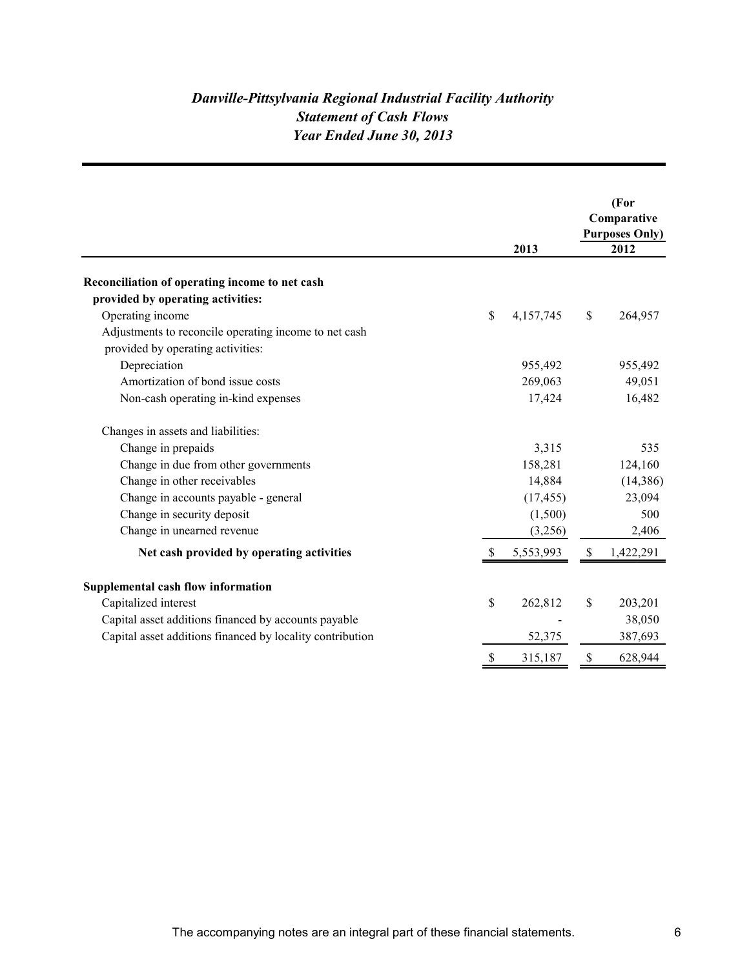# *Danville-Pittsylvania Regional Industrial Facility Authority Year Ended June 30, 2013 Statement of Cash Flows*

|                                                           |    | 2013      |    | (For<br>Comparative<br><b>Purposes Only)</b><br>2012 |
|-----------------------------------------------------------|----|-----------|----|------------------------------------------------------|
|                                                           |    |           |    |                                                      |
| Reconciliation of operating income to net cash            |    |           |    |                                                      |
| provided by operating activities:                         |    |           |    |                                                      |
| Operating income                                          | \$ | 4,157,745 | S. | 264,957                                              |
| Adjustments to reconcile operating income to net cash     |    |           |    |                                                      |
| provided by operating activities:                         |    |           |    |                                                      |
| Depreciation                                              |    | 955,492   |    | 955,492                                              |
| Amortization of bond issue costs                          |    | 269,063   |    | 49,051                                               |
| Non-cash operating in-kind expenses                       |    | 17,424    |    | 16,482                                               |
| Changes in assets and liabilities:                        |    |           |    |                                                      |
| Change in prepaids                                        |    | 3,315     |    | 535                                                  |
| Change in due from other governments                      |    | 158,281   |    | 124,160                                              |
| Change in other receivables                               |    | 14,884    |    | (14, 386)                                            |
| Change in accounts payable - general                      |    | (17, 455) |    | 23,094                                               |
| Change in security deposit                                |    | (1,500)   |    | 500                                                  |
| Change in unearned revenue                                |    | (3,256)   |    | 2,406                                                |
| Net cash provided by operating activities                 | -S | 5,553,993 | \$ | 1,422,291                                            |
| Supplemental cash flow information                        |    |           |    |                                                      |
| Capitalized interest                                      | \$ | 262,812   | \$ | 203,201                                              |
| Capital asset additions financed by accounts payable      |    |           |    | 38,050                                               |
| Capital asset additions financed by locality contribution |    | 52,375    |    | 387,693                                              |
|                                                           | \$ | 315,187   | \$ | 628,944                                              |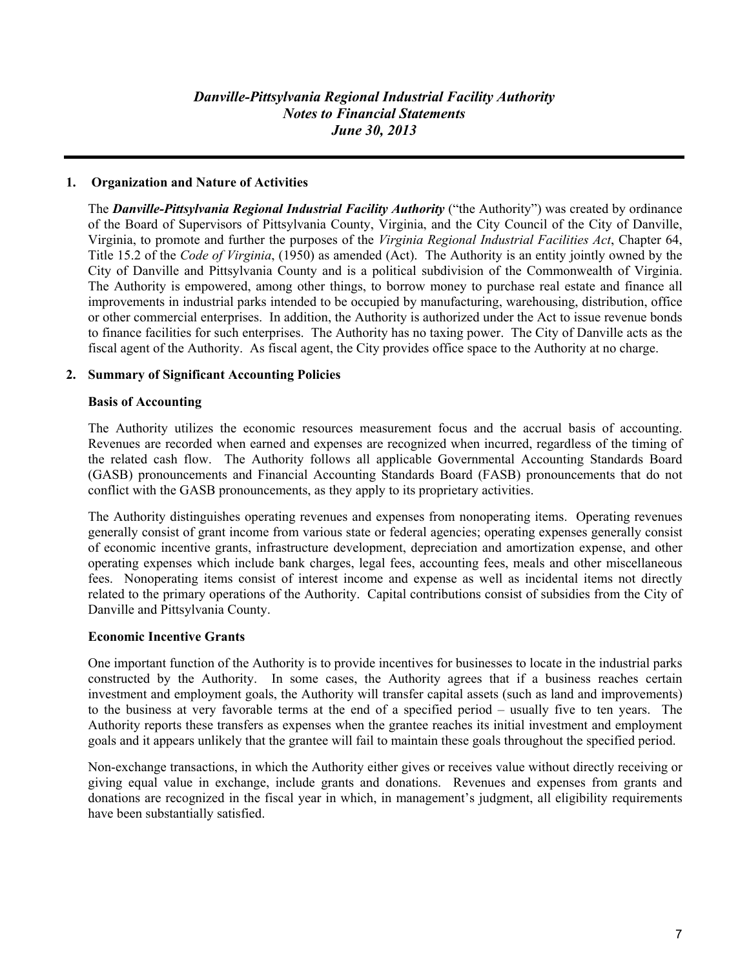## **1. Organization and Nature of Activities**

The *Danville-Pittsylvania Regional Industrial Facility Authority* ("the Authority") was created by ordinance of the Board of Supervisors of Pittsylvania County, Virginia, and the City Council of the City of Danville, Virginia, to promote and further the purposes of the *Virginia Regional Industrial Facilities Act*, Chapter 64, Title 15.2 of the *Code of Virginia*, (1950) as amended (Act). The Authority is an entity jointly owned by the City of Danville and Pittsylvania County and is a political subdivision of the Commonwealth of Virginia. The Authority is empowered, among other things, to borrow money to purchase real estate and finance all improvements in industrial parks intended to be occupied by manufacturing, warehousing, distribution, office or other commercial enterprises. In addition, the Authority is authorized under the Act to issue revenue bonds to finance facilities for such enterprises. The Authority has no taxing power. The City of Danville acts as the fiscal agent of the Authority. As fiscal agent, the City provides office space to the Authority at no charge.

### **2. Summary of Significant Accounting Policies**

#### **Basis of Accounting**

The Authority utilizes the economic resources measurement focus and the accrual basis of accounting. Revenues are recorded when earned and expenses are recognized when incurred, regardless of the timing of the related cash flow. The Authority follows all applicable Governmental Accounting Standards Board (GASB) pronouncements and Financial Accounting Standards Board (FASB) pronouncements that do not conflict with the GASB pronouncements, as they apply to its proprietary activities.

The Authority distinguishes operating revenues and expenses from nonoperating items. Operating revenues generally consist of grant income from various state or federal agencies; operating expenses generally consist of economic incentive grants, infrastructure development, depreciation and amortization expense, and other operating expenses which include bank charges, legal fees, accounting fees, meals and other miscellaneous fees. Nonoperating items consist of interest income and expense as well as incidental items not directly related to the primary operations of the Authority. Capital contributions consist of subsidies from the City of Danville and Pittsylvania County.

#### **Economic Incentive Grants**

One important function of the Authority is to provide incentives for businesses to locate in the industrial parks constructed by the Authority. In some cases, the Authority agrees that if a business reaches certain investment and employment goals, the Authority will transfer capital assets (such as land and improvements) to the business at very favorable terms at the end of a specified period – usually five to ten years. The Authority reports these transfers as expenses when the grantee reaches its initial investment and employment goals and it appears unlikely that the grantee will fail to maintain these goals throughout the specified period.

Non-exchange transactions, in which the Authority either gives or receives value without directly receiving or giving equal value in exchange, include grants and donations. Revenues and expenses from grants and donations are recognized in the fiscal year in which, in management's judgment, all eligibility requirements have been substantially satisfied.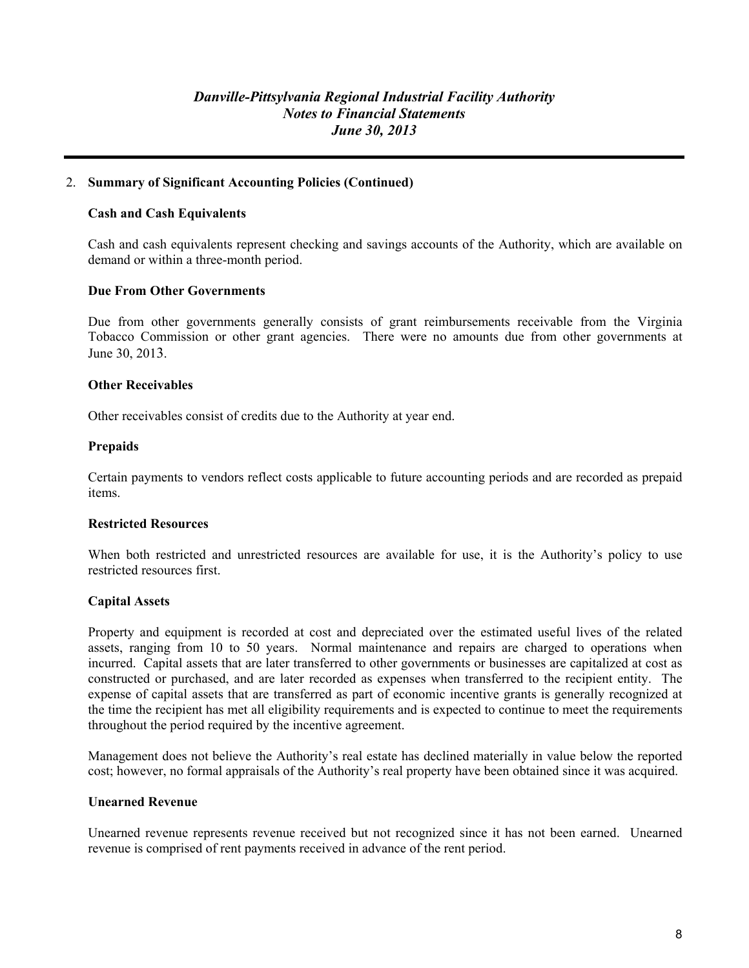#### 2. **Summary of Significant Accounting Policies (Continued)**

#### **Cash and Cash Equivalents**

Cash and cash equivalents represent checking and savings accounts of the Authority, which are available on demand or within a three-month period.

#### **Due From Other Governments**

Due from other governments generally consists of grant reimbursements receivable from the Virginia Tobacco Commission or other grant agencies. There were no amounts due from other governments at June 30, 2013.

### **Other Receivables**

Other receivables consist of credits due to the Authority at year end.

#### **Prepaids**

Certain payments to vendors reflect costs applicable to future accounting periods and are recorded as prepaid items.

#### **Restricted Resources**

When both restricted and unrestricted resources are available for use, it is the Authority's policy to use restricted resources first.

## **Capital Assets**

Property and equipment is recorded at cost and depreciated over the estimated useful lives of the related assets, ranging from 10 to 50 years. Normal maintenance and repairs are charged to operations when incurred. Capital assets that are later transferred to other governments or businesses are capitalized at cost as constructed or purchased, and are later recorded as expenses when transferred to the recipient entity. The expense of capital assets that are transferred as part of economic incentive grants is generally recognized at the time the recipient has met all eligibility requirements and is expected to continue to meet the requirements throughout the period required by the incentive agreement.

Management does not believe the Authority's real estate has declined materially in value below the reported cost; however, no formal appraisals of the Authority's real property have been obtained since it was acquired.

#### **Unearned Revenue**

Unearned revenue represents revenue received but not recognized since it has not been earned. Unearned revenue is comprised of rent payments received in advance of the rent period.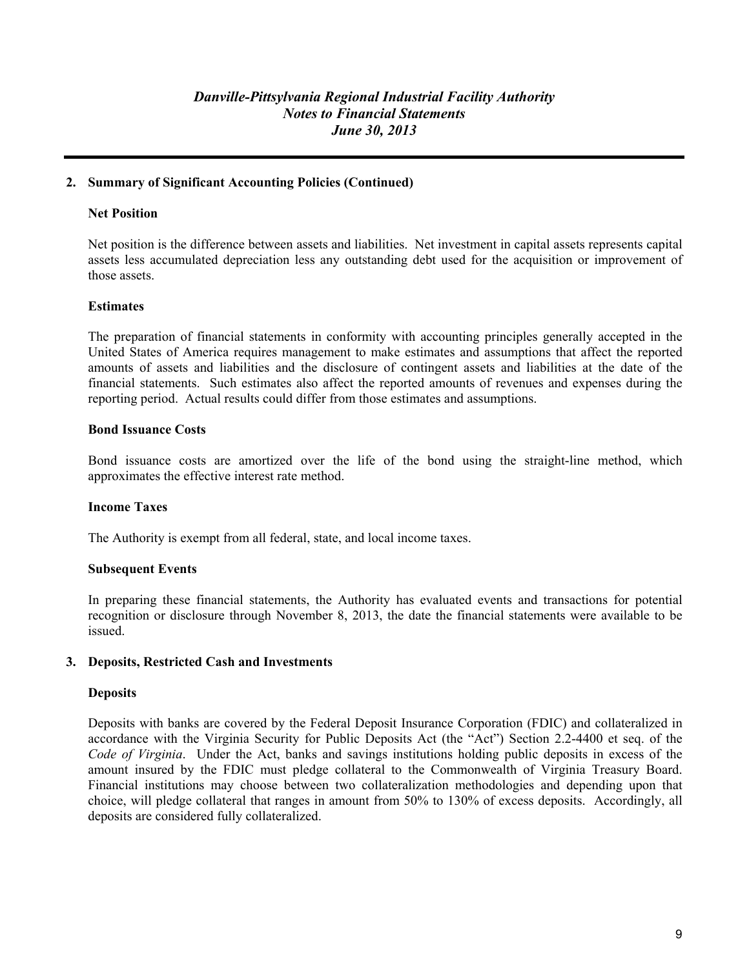### **2. Summary of Significant Accounting Policies (Continued)**

#### **Net Position**

Net position is the difference between assets and liabilities. Net investment in capital assets represents capital assets less accumulated depreciation less any outstanding debt used for the acquisition or improvement of those assets.

### **Estimates**

The preparation of financial statements in conformity with accounting principles generally accepted in the United States of America requires management to make estimates and assumptions that affect the reported amounts of assets and liabilities and the disclosure of contingent assets and liabilities at the date of the financial statements. Such estimates also affect the reported amounts of revenues and expenses during the reporting period. Actual results could differ from those estimates and assumptions.

### **Bond Issuance Costs**

Bond issuance costs are amortized over the life of the bond using the straight-line method, which approximates the effective interest rate method.

#### **Income Taxes**

The Authority is exempt from all federal, state, and local income taxes.

#### **Subsequent Events**

In preparing these financial statements, the Authority has evaluated events and transactions for potential recognition or disclosure through November 8, 2013, the date the financial statements were available to be issued.

## **3. Deposits, Restricted Cash and Investments**

#### **Deposits**

Deposits with banks are covered by the Federal Deposit Insurance Corporation (FDIC) and collateralized in accordance with the Virginia Security for Public Deposits Act (the "Act") Section 2.2-4400 et seq. of the *Code of Virginia*. Under the Act, banks and savings institutions holding public deposits in excess of the amount insured by the FDIC must pledge collateral to the Commonwealth of Virginia Treasury Board. Financial institutions may choose between two collateralization methodologies and depending upon that choice, will pledge collateral that ranges in amount from 50% to 130% of excess deposits. Accordingly, all deposits are considered fully collateralized.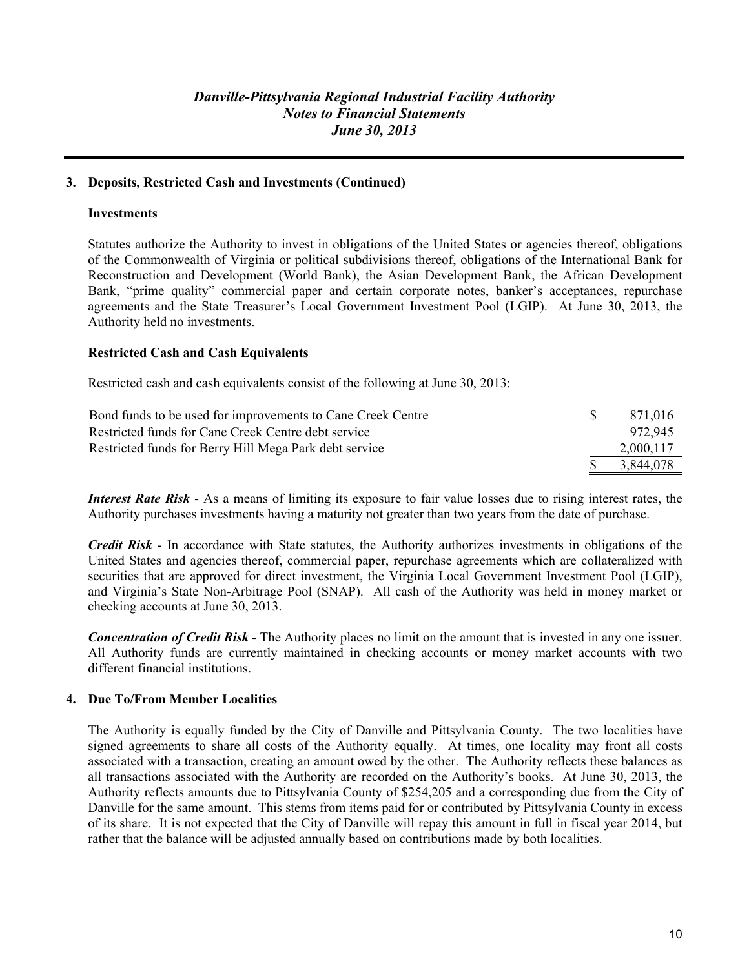### **3. Deposits, Restricted Cash and Investments (Continued)**

#### **Investments**

Statutes authorize the Authority to invest in obligations of the United States or agencies thereof, obligations of the Commonwealth of Virginia or political subdivisions thereof, obligations of the International Bank for Reconstruction and Development (World Bank), the Asian Development Bank, the African Development Bank, "prime quality" commercial paper and certain corporate notes, banker's acceptances, repurchase agreements and the State Treasurer's Local Government Investment Pool (LGIP). At June 30, 2013, the Authority held no investments.

### **Restricted Cash and Cash Equivalents**

Restricted cash and cash equivalents consist of the following at June 30, 2013:

| Bond funds to be used for improvements to Cane Creek Centre | 871.016   |
|-------------------------------------------------------------|-----------|
| Restricted funds for Cane Creek Centre debt service         | 972.945   |
| Restricted funds for Berry Hill Mega Park debt service      | 2,000,117 |
|                                                             | 3.844.078 |

*Interest Rate Risk* - As a means of limiting its exposure to fair value losses due to rising interest rates, the Authority purchases investments having a maturity not greater than two years from the date of purchase.

*Credit Risk* - In accordance with State statutes, the Authority authorizes investments in obligations of the United States and agencies thereof, commercial paper, repurchase agreements which are collateralized with securities that are approved for direct investment, the Virginia Local Government Investment Pool (LGIP), and Virginia's State Non-Arbitrage Pool (SNAP). All cash of the Authority was held in money market or checking accounts at June 30, 2013.

*Concentration of Credit Risk* - The Authority places no limit on the amount that is invested in any one issuer. All Authority funds are currently maintained in checking accounts or money market accounts with two different financial institutions.

## **4. Due To/From Member Localities**

The Authority is equally funded by the City of Danville and Pittsylvania County. The two localities have signed agreements to share all costs of the Authority equally. At times, one locality may front all costs associated with a transaction, creating an amount owed by the other. The Authority reflects these balances as all transactions associated with the Authority are recorded on the Authority's books. At June 30, 2013, the Authority reflects amounts due to Pittsylvania County of \$254,205 and a corresponding due from the City of Danville for the same amount. This stems from items paid for or contributed by Pittsylvania County in excess of its share. It is not expected that the City of Danville will repay this amount in full in fiscal year 2014, but rather that the balance will be adjusted annually based on contributions made by both localities.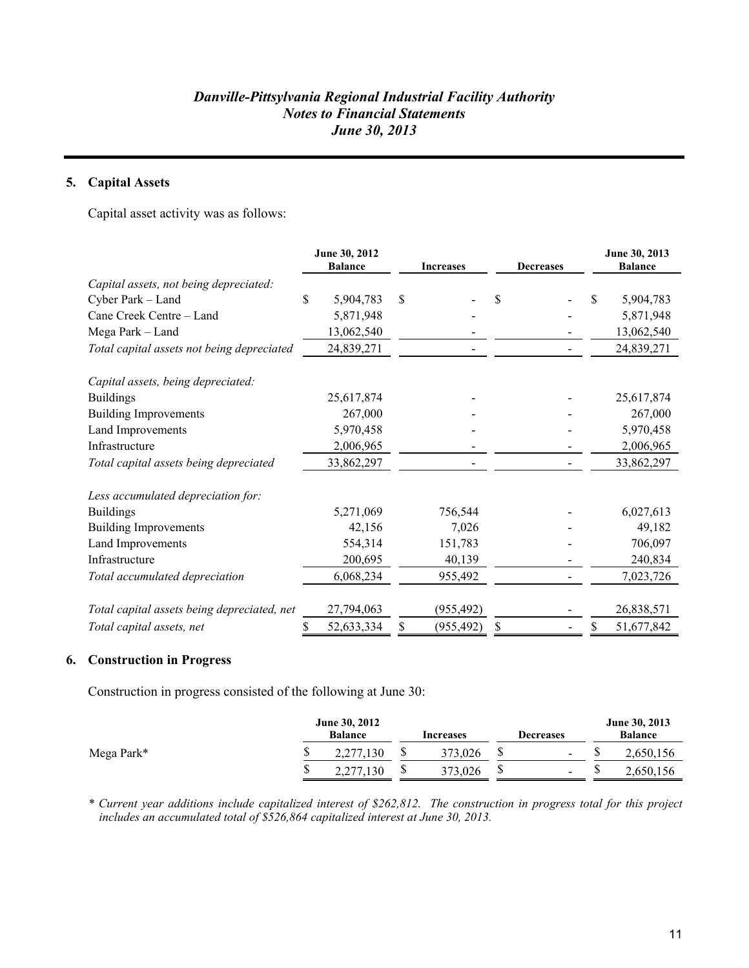# *Danville-Pittsylvania Regional Industrial Facility Authority Notes to Financial Statements June 30, 2013*

# **5. Capital Assets**

Capital asset activity was as follows:

|                                             | June 30, 2012<br><b>Balance</b> | <b>Increases</b> |    | <b>Decreases</b> |    | June 30, 2013<br><b>Balance</b> |
|---------------------------------------------|---------------------------------|------------------|----|------------------|----|---------------------------------|
| Capital assets, not being depreciated:      |                                 |                  |    |                  |    |                                 |
| Cyber Park - Land                           | \$<br>5,904,783                 | \$               | S  |                  | S  | 5,904,783                       |
| Cane Creek Centre - Land                    | 5,871,948                       |                  |    |                  |    | 5,871,948                       |
| Mega Park - Land                            | 13,062,540                      |                  |    |                  |    | 13,062,540                      |
| Total capital assets not being depreciated  | 24,839,271                      |                  |    |                  |    | 24,839,271                      |
| Capital assets, being depreciated:          |                                 |                  |    |                  |    |                                 |
| <b>Buildings</b>                            | 25,617,874                      |                  |    |                  |    | 25,617,874                      |
| <b>Building Improvements</b>                | 267,000                         |                  |    |                  |    | 267,000                         |
| Land Improvements                           | 5,970,458                       |                  |    |                  |    | 5,970,458                       |
| Infrastructure                              | 2,006,965                       |                  |    |                  |    | 2,006,965                       |
| Total capital assets being depreciated      | 33,862,297                      |                  |    |                  |    | 33,862,297                      |
| Less accumulated depreciation for:          |                                 |                  |    |                  |    |                                 |
| <b>Buildings</b>                            | 5,271,069                       | 756,544          |    |                  |    | 6,027,613                       |
| <b>Building Improvements</b>                | 42,156                          | 7,026            |    |                  |    | 49,182                          |
| Land Improvements                           | 554,314                         | 151,783          |    |                  |    | 706,097                         |
| Infrastructure                              | 200,695                         | 40,139           |    |                  |    | 240,834                         |
| Total accumulated depreciation              | 6,068,234                       | 955,492          |    |                  |    | 7,023,726                       |
| Total capital assets being depreciated, net | 27,794,063                      | (955, 492)       |    |                  |    | 26,838,571                      |
| Total capital assets, net                   | \$<br>52,633,334                | \$<br>(955, 492) | \$ |                  | \$ | 51,677,842                      |

### **6. Construction in Progress**

Construction in progress consisted of the following at June 30:

|            | <b>June 30, 2012</b><br><b>Balance</b> | Increases | <b>Decreases</b>         | June 30, 2013<br><b>Balance</b> |
|------------|----------------------------------------|-----------|--------------------------|---------------------------------|
| Mega Park* | 2,277,130                              | 373,026   | $\blacksquare$           | 2,650,156                       |
|            | 130                                    | 373,026   | $\overline{\phantom{0}}$ | 2,650,156                       |

*\* Current year additions include capitalized interest of \$262,812. The construction in progress total for this project includes an accumulated total of \$526,864 capitalized interest at June 30, 2013.*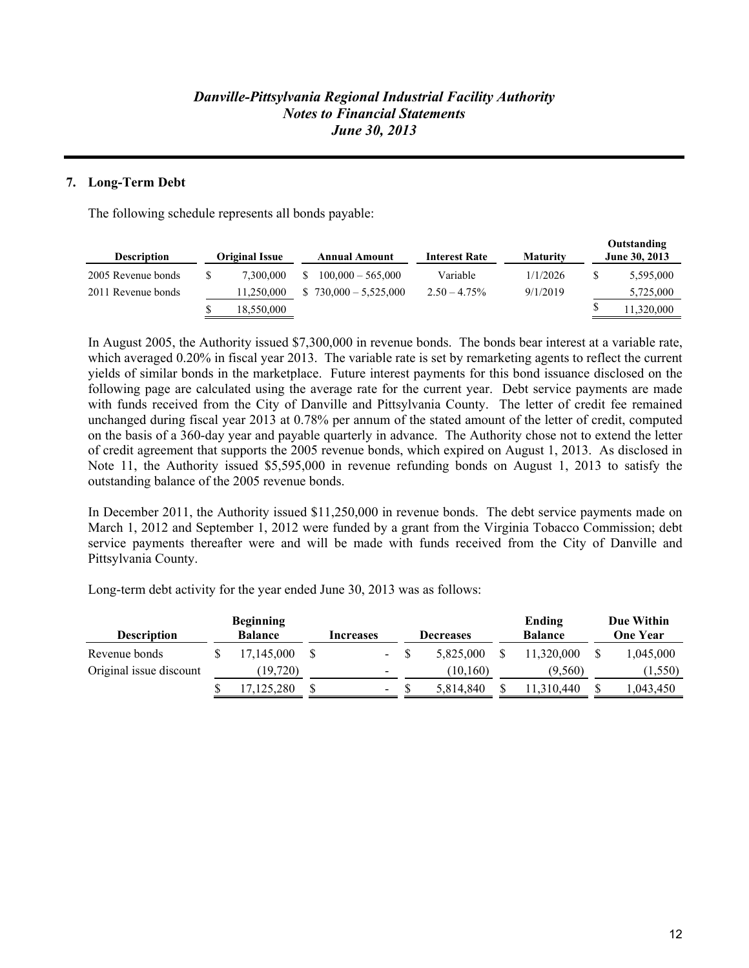## **7. Long-Term Debt**

The following schedule represents all bonds payable:

| <b>Description</b> | <b>Original Issue</b> | <b>Annual Amount</b>  | <b>Interest Rate</b> | <b>Maturity</b> | Outstanding<br>June 30, 2013 |
|--------------------|-----------------------|-----------------------|----------------------|-----------------|------------------------------|
| 2005 Revenue bonds | 7.300.000             | $100.000 - 565.000$   | Variable             | 1/1/2026        | 5,595,000                    |
| 2011 Revenue bonds | 11.250.000            | $730,000 - 5,525,000$ | $2.50 - 4.75\%$      | 9/1/2019        | 5,725,000                    |
|                    | 18,550,000            |                       |                      |                 | 11.320.000                   |

In August 2005, the Authority issued \$7,300,000 in revenue bonds. The bonds bear interest at a variable rate, which averaged 0.20% in fiscal year 2013. The variable rate is set by remarketing agents to reflect the current yields of similar bonds in the marketplace. Future interest payments for this bond issuance disclosed on the following page are calculated using the average rate for the current year. Debt service payments are made with funds received from the City of Danville and Pittsylvania County. The letter of credit fee remained unchanged during fiscal year 2013 at 0.78% per annum of the stated amount of the letter of credit, computed on the basis of a 360-day year and payable quarterly in advance. The Authority chose not to extend the letter of credit agreement that supports the 2005 revenue bonds, which expired on August 1, 2013. As disclosed in Note 11, the Authority issued \$5,595,000 in revenue refunding bonds on August 1, 2013 to satisfy the outstanding balance of the 2005 revenue bonds.

In December 2011, the Authority issued \$11,250,000 in revenue bonds. The debt service payments made on March 1, 2012 and September 1, 2012 were funded by a grant from the Virginia Tobacco Commission; debt service payments thereafter were and will be made with funds received from the City of Danville and Pittsylvania County.

Long-term debt activity for the year ended June 30, 2013 was as follows:

| <b>Description</b>      | <b>Beginning</b><br><b>Balance</b> |            | Increases |                          |              | <b>Decreases</b> |  | Ending<br><b>Balance</b> |  | Due Within<br><b>One Year</b> |
|-------------------------|------------------------------------|------------|-----------|--------------------------|--------------|------------------|--|--------------------------|--|-------------------------------|
| Revenue bonds           |                                    | 17,145,000 |           | $\sim$                   | $\mathbb{S}$ | 5.825,000        |  | 11.320.000               |  | 1,045,000                     |
| Original issue discount |                                    | (19.720)   |           | $\overline{\phantom{0}}$ |              | (10.160)         |  | (9.560)                  |  | (1, 550)                      |
|                         |                                    | 7.125.280  | S         | $\overline{\phantom{a}}$ |              | 5.814.840        |  | 11.310.440               |  | .043.450                      |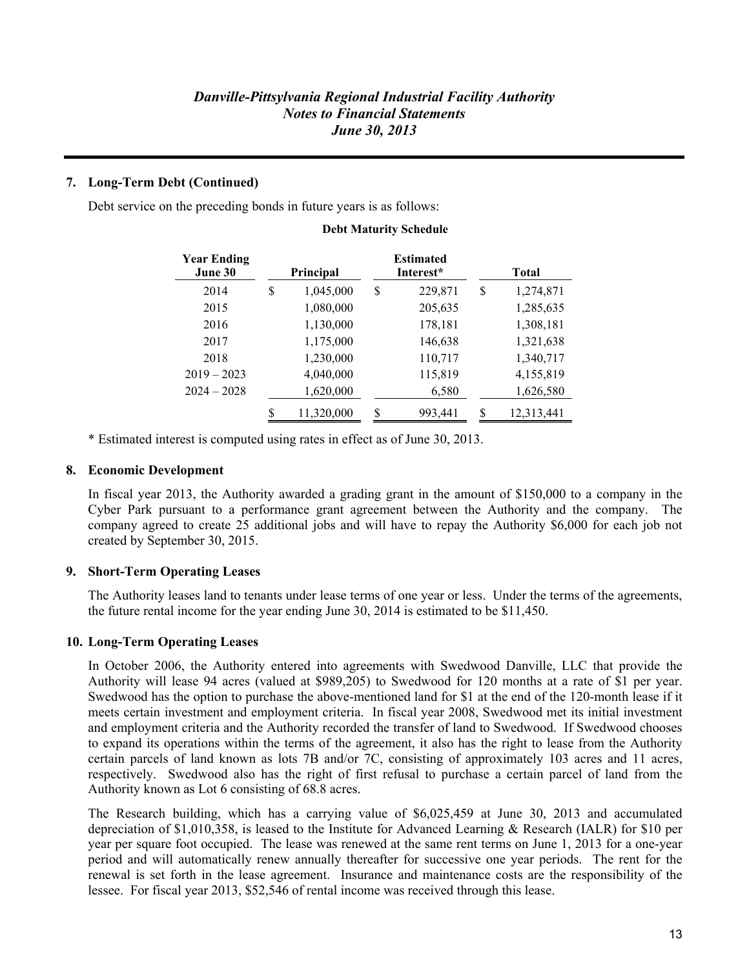## **7. Long-Term Debt (Continued)**

Debt service on the preceding bonds in future years is as follows:

#### **Debt Maturity Schedule**

| <b>Year Ending</b><br>June 30 | Principal        | <b>Estimated</b><br>Interest* |   | Total      |
|-------------------------------|------------------|-------------------------------|---|------------|
| 2014                          | \$<br>1,045,000  | \$<br>229,871                 | S | 1,274,871  |
| 2015                          | 1,080,000        | 205,635                       |   | 1,285,635  |
| 2016                          | 1,130,000        | 178,181                       |   | 1,308,181  |
| 2017                          | 1,175,000        | 146,638                       |   | 1,321,638  |
| 2018                          | 1,230,000        | 110,717                       |   | 1,340,717  |
| $2019 - 2023$                 | 4,040,000        | 115,819                       |   | 4,155,819  |
| $2024 - 2028$                 | 1,620,000        | 6,580                         |   | 1,626,580  |
|                               | \$<br>11,320,000 | \$<br>993,441                 | S | 12,313,441 |

\* Estimated interest is computed using rates in effect as of June 30, 2013.

#### **8. Economic Development**

In fiscal year 2013, the Authority awarded a grading grant in the amount of \$150,000 to a company in the Cyber Park pursuant to a performance grant agreement between the Authority and the company. The company agreed to create 25 additional jobs and will have to repay the Authority \$6,000 for each job not created by September 30, 2015.

## **9. Short-Term Operating Leases**

The Authority leases land to tenants under lease terms of one year or less. Under the terms of the agreements, the future rental income for the year ending June 30, 2014 is estimated to be \$11,450.

#### **10. Long-Term Operating Leases**

In October 2006, the Authority entered into agreements with Swedwood Danville, LLC that provide the Authority will lease 94 acres (valued at \$989,205) to Swedwood for 120 months at a rate of \$1 per year. Swedwood has the option to purchase the above-mentioned land for \$1 at the end of the 120-month lease if it meets certain investment and employment criteria. In fiscal year 2008, Swedwood met its initial investment and employment criteria and the Authority recorded the transfer of land to Swedwood. If Swedwood chooses to expand its operations within the terms of the agreement, it also has the right to lease from the Authority certain parcels of land known as lots 7B and/or 7C, consisting of approximately 103 acres and 11 acres, respectively. Swedwood also has the right of first refusal to purchase a certain parcel of land from the Authority known as Lot 6 consisting of 68.8 acres.

The Research building, which has a carrying value of \$6,025,459 at June 30, 2013 and accumulated depreciation of \$1,010,358, is leased to the Institute for Advanced Learning & Research (IALR) for \$10 per year per square foot occupied. The lease was renewed at the same rent terms on June 1, 2013 for a one-year period and will automatically renew annually thereafter for successive one year periods. The rent for the renewal is set forth in the lease agreement. Insurance and maintenance costs are the responsibility of the lessee. For fiscal year 2013, \$52,546 of rental income was received through this lease.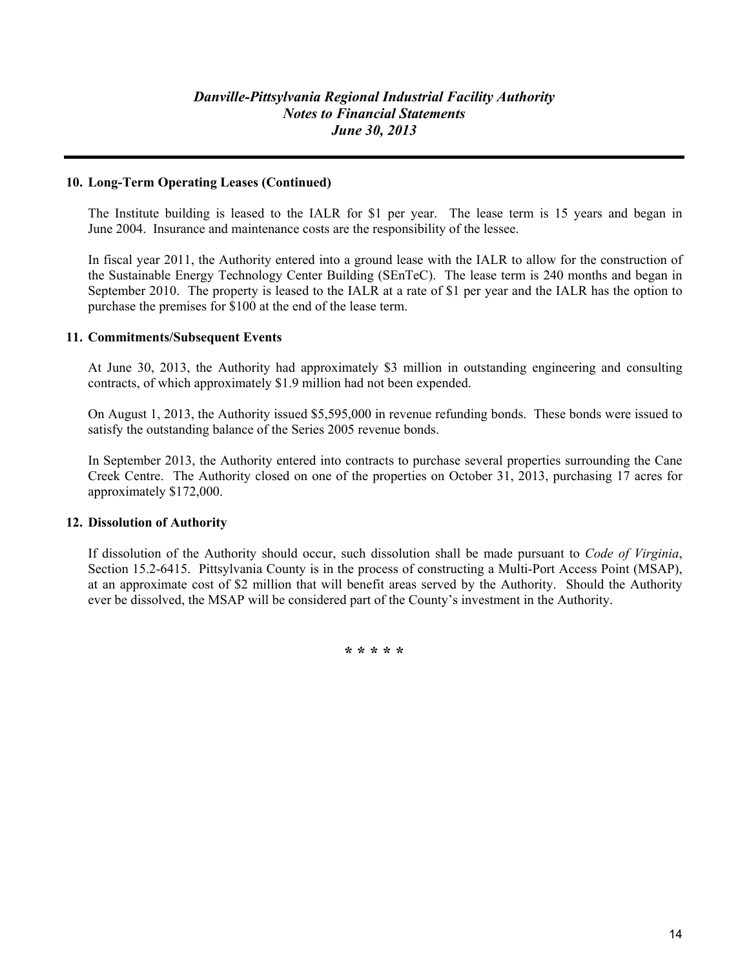#### **10. Long-Term Operating Leases (Continued)**

The Institute building is leased to the IALR for \$1 per year. The lease term is 15 years and began in June 2004. Insurance and maintenance costs are the responsibility of the lessee.

In fiscal year 2011, the Authority entered into a ground lease with the IALR to allow for the construction of the Sustainable Energy Technology Center Building (SEnTeC). The lease term is 240 months and began in September 2010. The property is leased to the IALR at a rate of \$1 per year and the IALR has the option to purchase the premises for \$100 at the end of the lease term.

#### **11. Commitments/Subsequent Events**

At June 30, 2013, the Authority had approximately \$3 million in outstanding engineering and consulting contracts, of which approximately \$1.9 million had not been expended.

On August 1, 2013, the Authority issued \$5,595,000 in revenue refunding bonds. These bonds were issued to satisfy the outstanding balance of the Series 2005 revenue bonds.

In September 2013, the Authority entered into contracts to purchase several properties surrounding the Cane Creek Centre. The Authority closed on one of the properties on October 31, 2013, purchasing 17 acres for approximately \$172,000.

#### **12. Dissolution of Authority**

 If dissolution of the Authority should occur, such dissolution shall be made pursuant to *Code of Virginia*, Section 15.2-6415. Pittsylvania County is in the process of constructing a Multi-Port Access Point (MSAP), at an approximate cost of \$2 million that will benefit areas served by the Authority. Should the Authority ever be dissolved, the MSAP will be considered part of the County's investment in the Authority.

**\* \* \* \* \***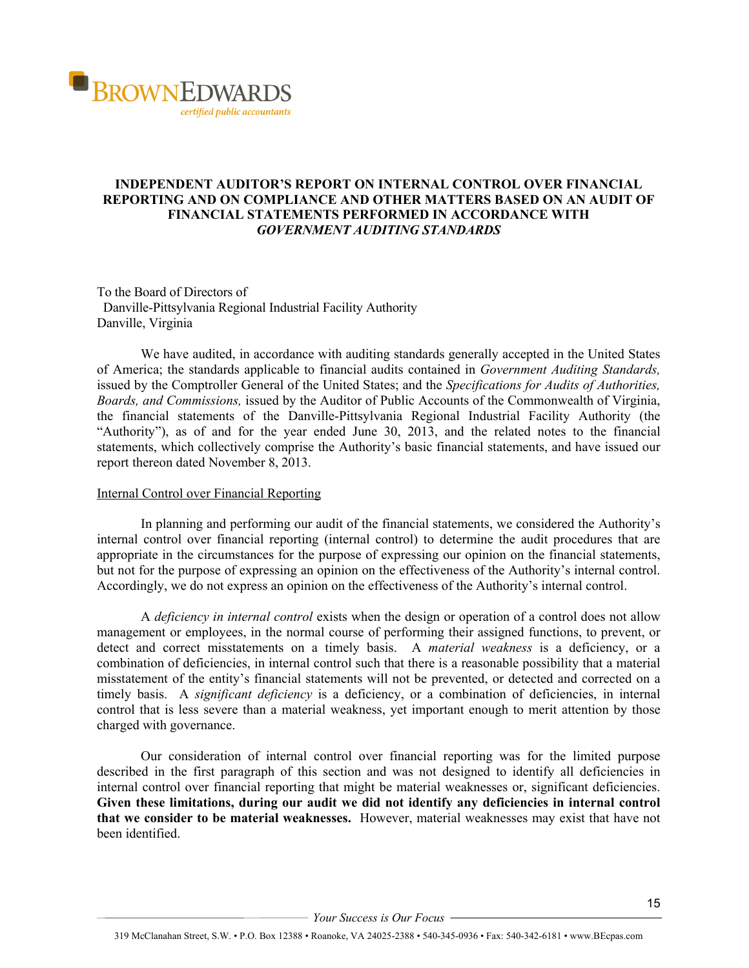

### **INDEPENDENT AUDITOR'S REPORT ON INTERNAL CONTROL OVER FINANCIAL REPORTING AND ON COMPLIANCE AND OTHER MATTERS BASED ON AN AUDIT OF FINANCIAL STATEMENTS PERFORMED IN ACCORDANCE WITH**  *GOVERNMENT AUDITING STANDARDS*

To the Board of Directors of Danville-Pittsylvania Regional Industrial Facility Authority Danville, Virginia

 We have audited, in accordance with auditing standards generally accepted in the United States of America; the standards applicable to financial audits contained in *Government Auditing Standards,*  issued by the Comptroller General of the United States; and the *Specifications for Audits of Authorities, Boards, and Commissions,* issued by the Auditor of Public Accounts of the Commonwealth of Virginia, the financial statements of the Danville-Pittsylvania Regional Industrial Facility Authority (the "Authority"), as of and for the year ended June 30, 2013, and the related notes to the financial statements, which collectively comprise the Authority's basic financial statements, and have issued our report thereon dated November 8, 2013.

#### Internal Control over Financial Reporting

 In planning and performing our audit of the financial statements, we considered the Authority's internal control over financial reporting (internal control) to determine the audit procedures that are appropriate in the circumstances for the purpose of expressing our opinion on the financial statements, but not for the purpose of expressing an opinion on the effectiveness of the Authority's internal control. Accordingly, we do not express an opinion on the effectiveness of the Authority's internal control.

A *deficiency in internal control* exists when the design or operation of a control does not allow management or employees, in the normal course of performing their assigned functions, to prevent, or detect and correct misstatements on a timely basis. A *material weakness* is a deficiency, or a combination of deficiencies, in internal control such that there is a reasonable possibility that a material misstatement of the entity's financial statements will not be prevented, or detected and corrected on a timely basis. A *significant deficiency* is a deficiency, or a combination of deficiencies, in internal control that is less severe than a material weakness, yet important enough to merit attention by those charged with governance.

Our consideration of internal control over financial reporting was for the limited purpose described in the first paragraph of this section and was not designed to identify all deficiencies in internal control over financial reporting that might be material weaknesses or, significant deficiencies. **Given these limitations, during our audit we did not identify any deficiencies in internal control that we consider to be material weaknesses.** However, material weaknesses may exist that have not been identified.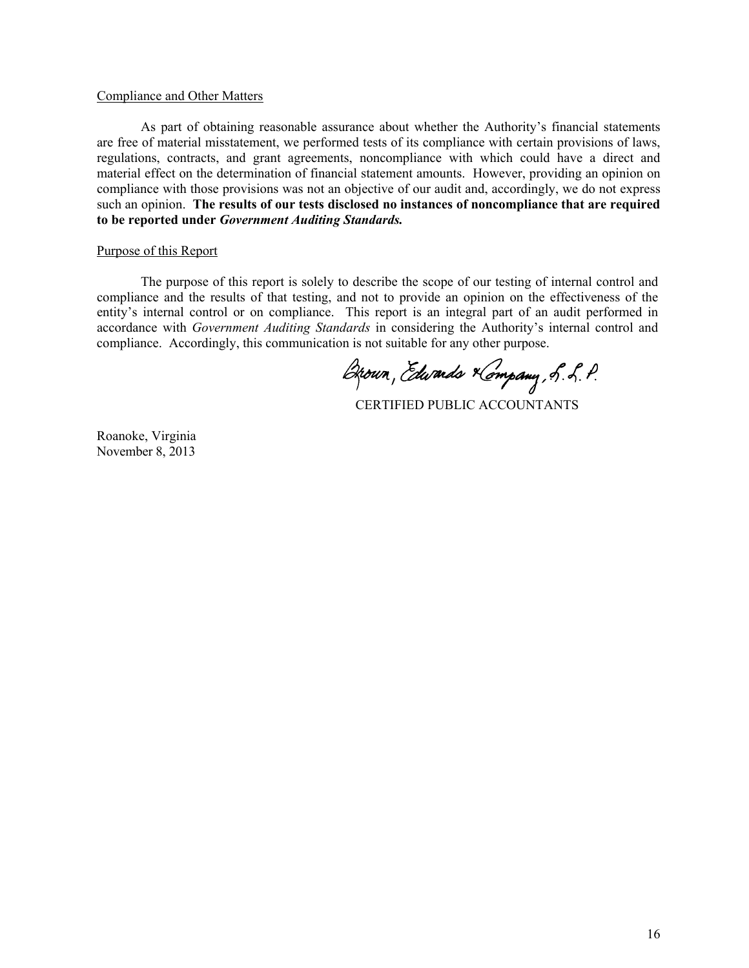#### Compliance and Other Matters

 As part of obtaining reasonable assurance about whether the Authority's financial statements are free of material misstatement, we performed tests of its compliance with certain provisions of laws, regulations, contracts, and grant agreements, noncompliance with which could have a direct and material effect on the determination of financial statement amounts. However, providing an opinion on compliance with those provisions was not an objective of our audit and, accordingly, we do not express such an opinion. **The results of our tests disclosed no instances of noncompliance that are required to be reported under** *Government Auditing Standards.*

#### Purpose of this Report

 The purpose of this report is solely to describe the scope of our testing of internal control and compliance and the results of that testing, and not to provide an opinion on the effectiveness of the entity's internal control or on compliance. This report is an integral part of an audit performed in accordance with *Government Auditing Standards* in considering the Authority's internal control and compliance. Accordingly, this communication is not suitable for any other purpose.

Brown, Edwards Kompany, S. L. P.

CERTIFIED PUBLIC ACCOUNTANTS

Roanoke, Virginia November 8, 2013